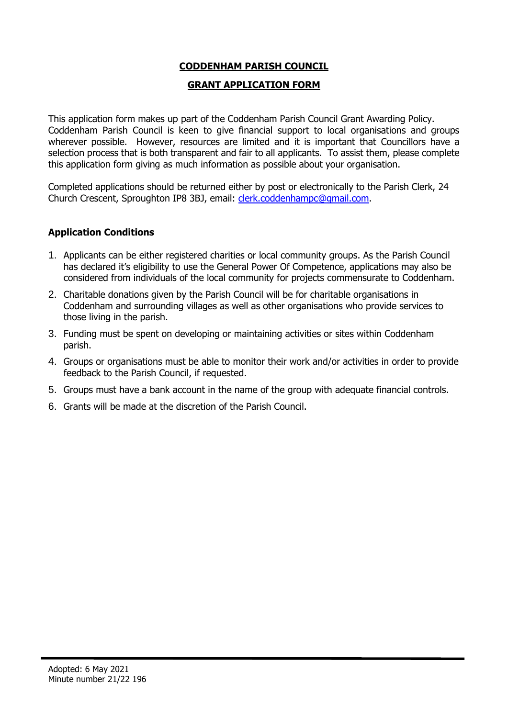## **CODDENHAM PARISH COUNCIL**

### **GRANT APPLICATION FORM**

This application form makes up part of the Coddenham Parish Council Grant Awarding Policy. Coddenham Parish Council is keen to give financial support to local organisations and groups wherever possible. However, resources are limited and it is important that Councillors have a selection process that is both transparent and fair to all applicants. To assist them, please complete this application form giving as much information as possible about your organisation.

Completed applications should be returned either by post or electronically to the Parish Clerk, 24 Church Crescent, Sproughton IP8 3BJ, email: [clerk.coddenhampc@gmail.com.](mailto:clerk.coddenhampc@gmail.com)

### **Application Conditions**

- 1. Applicants can be either registered charities or local community groups. As the Parish Council has declared it's eligibility to use the General Power Of Competence, applications may also be considered from individuals of the local community for projects commensurate to Coddenham.
- 2. Charitable donations given by the Parish Council will be for charitable organisations in Coddenham and surrounding villages as well as other organisations who provide services to those living in the parish.
- 3. Funding must be spent on developing or maintaining activities or sites within Coddenham parish.
- 4. Groups or organisations must be able to monitor their work and/or activities in order to provide feedback to the Parish Council, if requested.
- 5. Groups must have a bank account in the name of the group with adequate financial controls.
- 6. Grants will be made at the discretion of the Parish Council.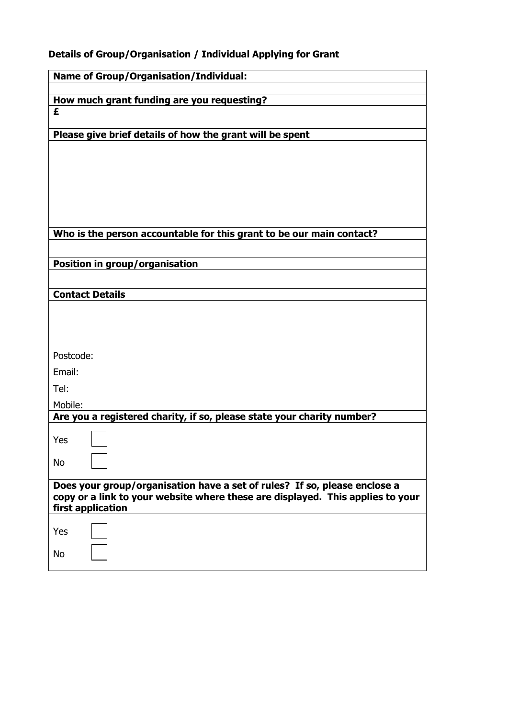# **Details of Group/Organisation / Individual Applying for Grant**

| <b>Name of Group/Organisation/Individual:</b>                                                       |  |  |
|-----------------------------------------------------------------------------------------------------|--|--|
|                                                                                                     |  |  |
| How much grant funding are you requesting?<br>£                                                     |  |  |
|                                                                                                     |  |  |
| Please give brief details of how the grant will be spent                                            |  |  |
|                                                                                                     |  |  |
|                                                                                                     |  |  |
|                                                                                                     |  |  |
|                                                                                                     |  |  |
|                                                                                                     |  |  |
| Who is the person accountable for this grant to be our main contact?                                |  |  |
|                                                                                                     |  |  |
| Position in group/organisation                                                                      |  |  |
|                                                                                                     |  |  |
| <b>Contact Details</b>                                                                              |  |  |
|                                                                                                     |  |  |
|                                                                                                     |  |  |
|                                                                                                     |  |  |
| Postcode:                                                                                           |  |  |
| Email:                                                                                              |  |  |
| Tel:                                                                                                |  |  |
| Mobile:                                                                                             |  |  |
| Are you a registered charity, if so, please state your charity number?                              |  |  |
| Yes                                                                                                 |  |  |
|                                                                                                     |  |  |
| <b>No</b>                                                                                           |  |  |
| Does your group/organisation have a set of rules? If so, please enclose a                           |  |  |
| copy or a link to your website where these are displayed. This applies to your<br>first application |  |  |
|                                                                                                     |  |  |
| Yes                                                                                                 |  |  |
| <b>No</b>                                                                                           |  |  |
|                                                                                                     |  |  |